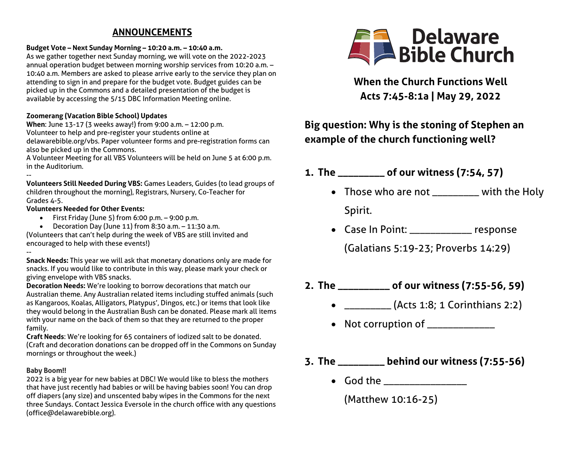# **ANNOUNCEMENTS**

#### **Budget Vote – Next Sunday Morning – 10:20 a.m. – 10:40 a.m.**

As we gather together next Sunday morning, we will vote on the 2022-2023 annual operation budget between morning worship services from 10:20 a.m. – 10:40 a.m. Members are asked to please arrive early to the service they plan on attending to sign in and prepare for the budget vote. Budget guides can be picked up in the Commons and a detailed presentation of the budget is available by accessing the 5/15 DBC Information Meeting online.

## **Zoomerang (Vacation Bible School) Updates**

**When**: June 13-17 (3 weeks away!) from 9:00 a.m. – 12:00 p.m. Volunteer to help and pre-register your students online at delawarebible.org/vbs. Paper volunteer forms and pre-registration forms can also be picked up in the Commons.

A Volunteer Meeting for all VBS Volunteers will be held on June 5 at 6:00 p.m. in the Auditorium.

-- **Volunteers Still Needed During VBS:** Games Leaders, Guides (to lead groups of children throughout the morning), Registrars, Nursery, Co-Teacher for Grades 4-5.

## **Volunteers Needed for Other Events:**

- $\bullet$  First Friday (June 5) from 6:00 p.m.  $-$  9:00 p.m.
- Decoration Day (June 11) from 8:30 a.m. 11:30 a.m.

(Volunteers that can't help during the week of VBS are still invited and encouraged to help with these events!)

-- **Snack Needs:** This year we will ask that monetary donations only are made for snacks. If you would like to contribute in this way, please mark your check or giving envelope with VBS snacks.

**Decoration Needs:** We're looking to borrow decorations that match our Australian theme. Any Australian related items including stuffed animals (such as Kangaroos, Koalas, Alligators, Platypus', Dingos, etc.) or items that look like they would belong in the Australian Bush can be donated. Please mark all items with your name on the back of them so that they are returned to the proper family.

**Craft Needs**: We're looking for 65 containers of iodized salt to be donated. (Craft and decoration donations can be dropped off in the Commons on Sunday mornings or throughout the week.)

#### **Baby Boom!!**

2022 is a big year for new babies at DBC! We would like to bless the mothers that have just recently had babies or will be having babies soon! You can drop off diapers (any size) and unscented baby wipes in the Commons for the next three Sundays. Contact Jessica Eversole in the church office with any questions (office@delawarebible.org).



**When the Church Functions Well Acts 7:45-8:1a | May 29, 2022**

# **Big question: Why is the stoning of Stephen an example of the church functioning well?**

- **1. The \_\_\_\_\_\_\_\_\_ of our witness (7:54, 57)**
	- Those who are not \_\_\_\_\_\_\_\_\_ with the Holy Spirit.
	- Case In Point: \_\_\_\_\_\_\_\_\_\_\_\_ response

(Galatians 5:19-23; Proverbs 14:29)

- **2. The \_\_\_\_\_\_\_\_\_\_ of our witness (7:55-56, 59)**
	- \_\_\_\_\_\_\_\_\_\_ (Acts 1:8; 1 Corinthians 2:2)
	- Not corruption of  $\frac{1}{2}$
- **3. The \_\_\_\_\_\_\_\_\_ behind our witness (7:55-56)**
	- God the

(Matthew 10:16-25)